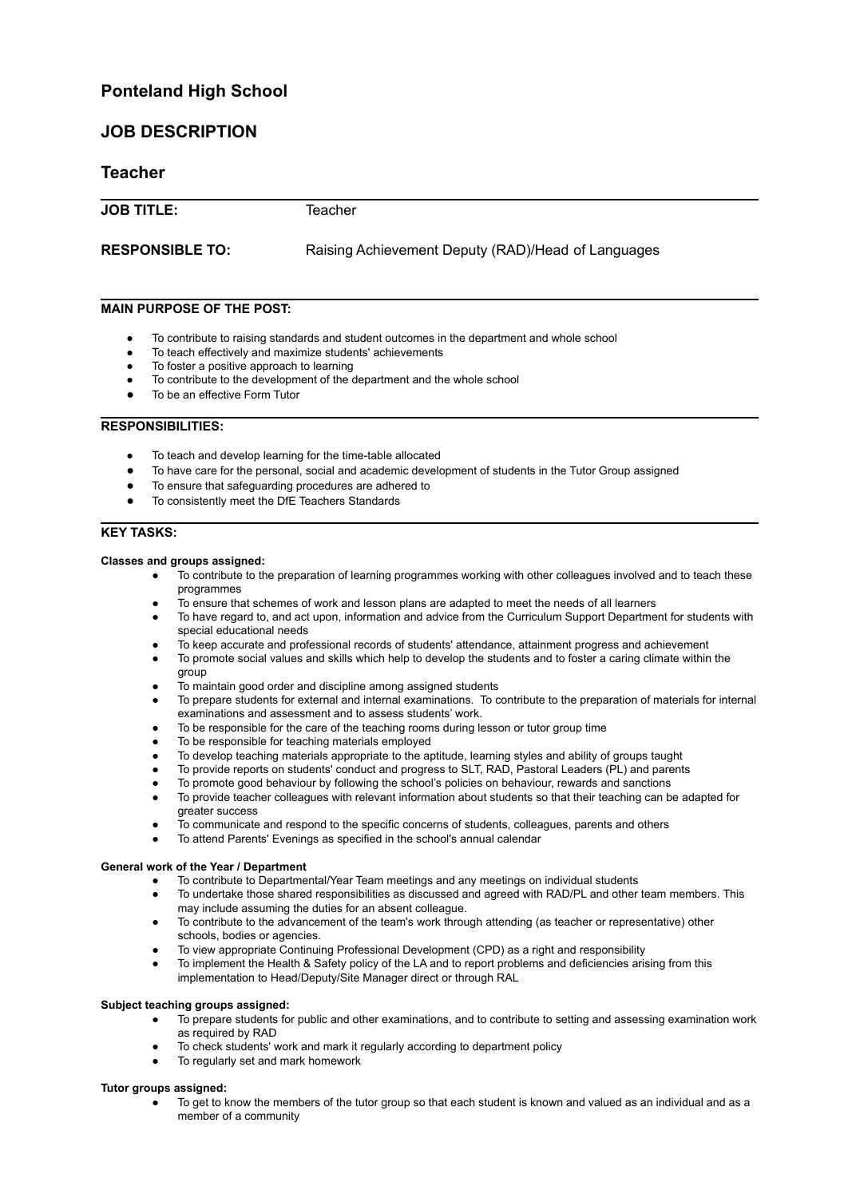# **Ponteland High School**

# **JOB DESCRIPTION**

# **Teacher**

**JOB TITLE:** Teacher

**RESPONSIBLE TO:** Raising Achievement Deputy (RAD)/Head of Languages

## **MAIN PURPOSE OF THE POST:**

- To contribute to raising standards and student outcomes in the department and whole school
- To teach effectively and maximize students' achievements
- To foster a positive approach to learning
- To contribute to the development of the department and the whole school
- To be an effective Form Tutor

### **RESPONSIBILITIES:**

- To teach and develop learning for the time-table allocated
- To have care for the personal, social and academic development of students in the Tutor Group assigned
- To ensure that safeguarding procedures are adhered to
- To consistently meet the DfE Teachers Standards

## **KEY TASKS:**

#### **Classes and groups assigned:**

- To contribute to the preparation of learning programmes working with other colleagues involved and to teach these programmes
- To ensure that schemes of work and lesson plans are adapted to meet the needs of all learners
- To have regard to, and act upon, information and advice from the Curriculum Support Department for students with special educational needs
- To keep accurate and professional records of students' attendance, attainment progress and achievement
- To promote social values and skills which help to develop the students and to foster a caring climate within the group
- To maintain good order and discipline among assigned students
- To prepare students for external and internal examinations. To contribute to the preparation of materials for internal examinations and assessment and to assess students' work.
- To be responsible for the care of the teaching rooms during lesson or tutor group time
- To be responsible for teaching materials employed
- To develop teaching materials appropriate to the aptitude, learning styles and ability of groups taught
- To provide reports on students' conduct and progress to SLT, RAD, Pastoral Leaders (PL) and parents
- To promote good behaviour by following the school's policies on behaviour, rewards and sanctions
- To provide teacher colleagues with relevant information about students so that their teaching can be adapted for greater success
- To communicate and respond to the specific concerns of students, colleagues, parents and others
- To attend Parents' Evenings as specified in the school's annual calendar

### **General work of the Year / Department**

- To contribute to Departmental/Year Team meetings and any meetings on individual students
- To undertake those shared responsibilities as discussed and agreed with RAD/PL and other team members. This may include assuming the duties for an absent colleague.
- To contribute to the advancement of the team's work through attending (as teacher or representative) other schools, bodies or agencies.
- To view appropriate Continuing Professional Development (CPD) as a right and responsibility
- To implement the Health & Safety policy of the LA and to report problems and deficiencies arising from this implementation to Head/Deputy/Site Manager direct or through RAL

#### **Subject teaching groups assigned:**

- To prepare students for public and other examinations, and to contribute to setting and assessing examination work as required by RAD
- To check students' work and mark it regularly according to department policy
- To regularly set and mark homework

### **Tutor groups assigned:**

To get to know the members of the tutor group so that each student is known and valued as an individual and as a member of a community